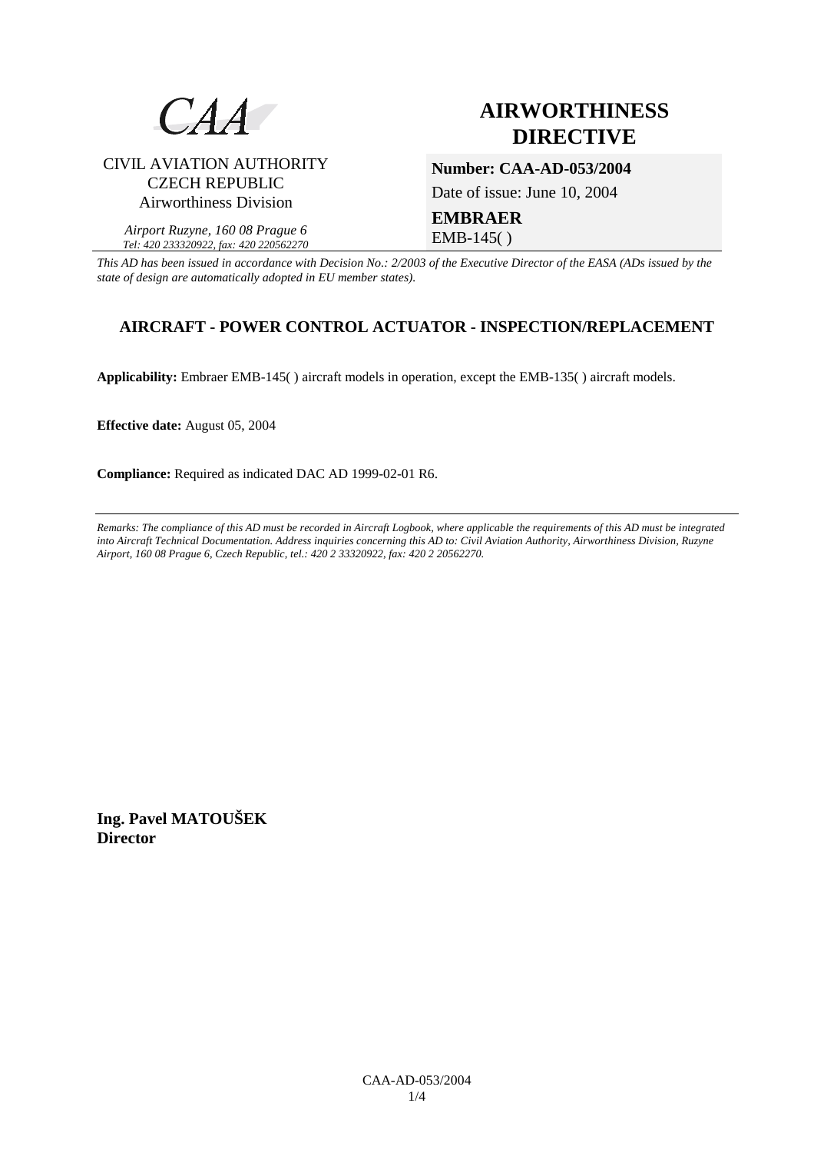

# CIVIL AVIATION AUTHORITY CZECH REPUBLIC Airworthiness Division

# **AIRWORTHINESS DIRECTIVE**

**Number: CAA-AD-053/2004** 

Date of issue: June 10, 2004

**EMBRAER**  EMB-145( )

*Airport Ruzyne, 160 08 Prague 6 Tel: 420 233320922, fax: 420 220562270*

*This AD has been issued in accordance with Decision No.: 2/2003 of the Executive Director of the EASA (ADs issued by the state of design are automatically adopted in EU member states).*

# **AIRCRAFT - POWER CONTROL ACTUATOR - INSPECTION/REPLACEMENT**

**Applicability:** Embraer EMB-145( ) aircraft models in operation, except the EMB-135( ) aircraft models.

**Effective date:** August 05, 2004

**Compliance:** Required as indicated DAC AD 1999-02-01 R6.

*Remarks: The compliance of this AD must be recorded in Aircraft Logbook, where applicable the requirements of this AD must be integrated into Aircraft Technical Documentation. Address inquiries concerning this AD to: Civil Aviation Authority, Airworthiness Division, Ruzyne Airport, 160 08 Prague 6, Czech Republic, tel.: 420 2 33320922, fax: 420 2 20562270.* 

**Ing. Pavel MATOUŠEK Director**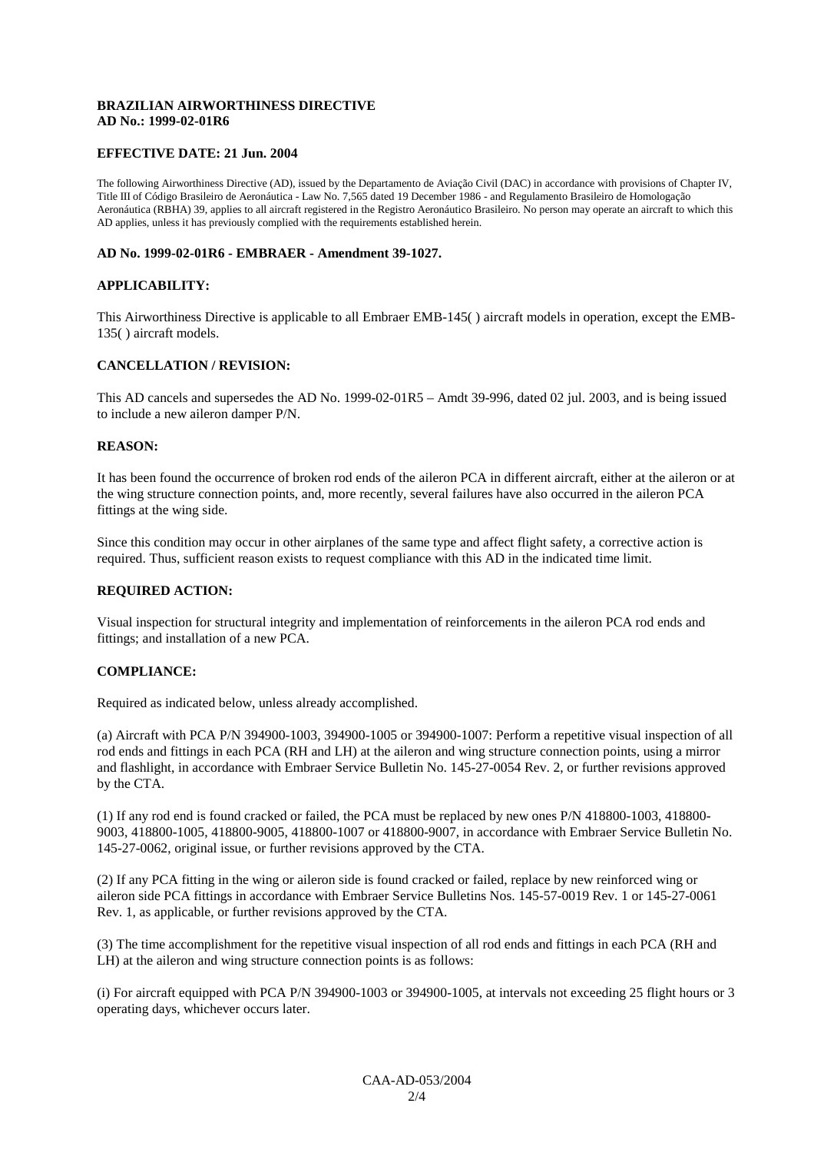# **BRAZILIAN AIRWORTHINESS DIRECTIVE AD No.: 1999-02-01R6**

# **EFFECTIVE DATE: 21 Jun. 2004**

The following Airworthiness Directive (AD), issued by the Departamento de Aviação Civil (DAC) in accordance with provisions of Chapter IV, Title III of Código Brasileiro de Aeronáutica - Law No. 7,565 dated 19 December 1986 - and Regulamento Brasileiro de Homologação Aeronáutica (RBHA) 39, applies to all aircraft registered in the Registro Aeronáutico Brasileiro. No person may operate an aircraft to which this AD applies, unless it has previously complied with the requirements established herein.

#### **AD No. 1999-02-01R6 - EMBRAER - Amendment 39-1027.**

#### **APPLICABILITY:**

This Airworthiness Directive is applicable to all Embraer EMB-145( ) aircraft models in operation, except the EMB-135( ) aircraft models.

#### **CANCELLATION / REVISION:**

This AD cancels and supersedes the AD No. 1999-02-01R5 – Amdt 39-996, dated 02 jul. 2003, and is being issued to include a new aileron damper P/N.

#### **REASON:**

It has been found the occurrence of broken rod ends of the aileron PCA in different aircraft, either at the aileron or at the wing structure connection points, and, more recently, several failures have also occurred in the aileron PCA fittings at the wing side.

Since this condition may occur in other airplanes of the same type and affect flight safety, a corrective action is required. Thus, sufficient reason exists to request compliance with this AD in the indicated time limit.

# **REQUIRED ACTION:**

Visual inspection for structural integrity and implementation of reinforcements in the aileron PCA rod ends and fittings; and installation of a new PCA.

#### **COMPLIANCE:**

Required as indicated below, unless already accomplished.

(a) Aircraft with PCA P/N 394900-1003, 394900-1005 or 394900-1007: Perform a repetitive visual inspection of all rod ends and fittings in each PCA (RH and LH) at the aileron and wing structure connection points, using a mirror and flashlight, in accordance with Embraer Service Bulletin No. 145-27-0054 Rev. 2, or further revisions approved by the CTA.

(1) If any rod end is found cracked or failed, the PCA must be replaced by new ones P/N 418800-1003, 418800- 9003, 418800-1005, 418800-9005, 418800-1007 or 418800-9007, in accordance with Embraer Service Bulletin No. 145-27-0062, original issue, or further revisions approved by the CTA.

(2) If any PCA fitting in the wing or aileron side is found cracked or failed, replace by new reinforced wing or aileron side PCA fittings in accordance with Embraer Service Bulletins Nos. 145-57-0019 Rev. 1 or 145-27-0061 Rev. 1, as applicable, or further revisions approved by the CTA.

(3) The time accomplishment for the repetitive visual inspection of all rod ends and fittings in each PCA (RH and LH) at the aileron and wing structure connection points is as follows:

(i) For aircraft equipped with PCA P/N 394900-1003 or 394900-1005, at intervals not exceeding 25 flight hours or 3 operating days, whichever occurs later.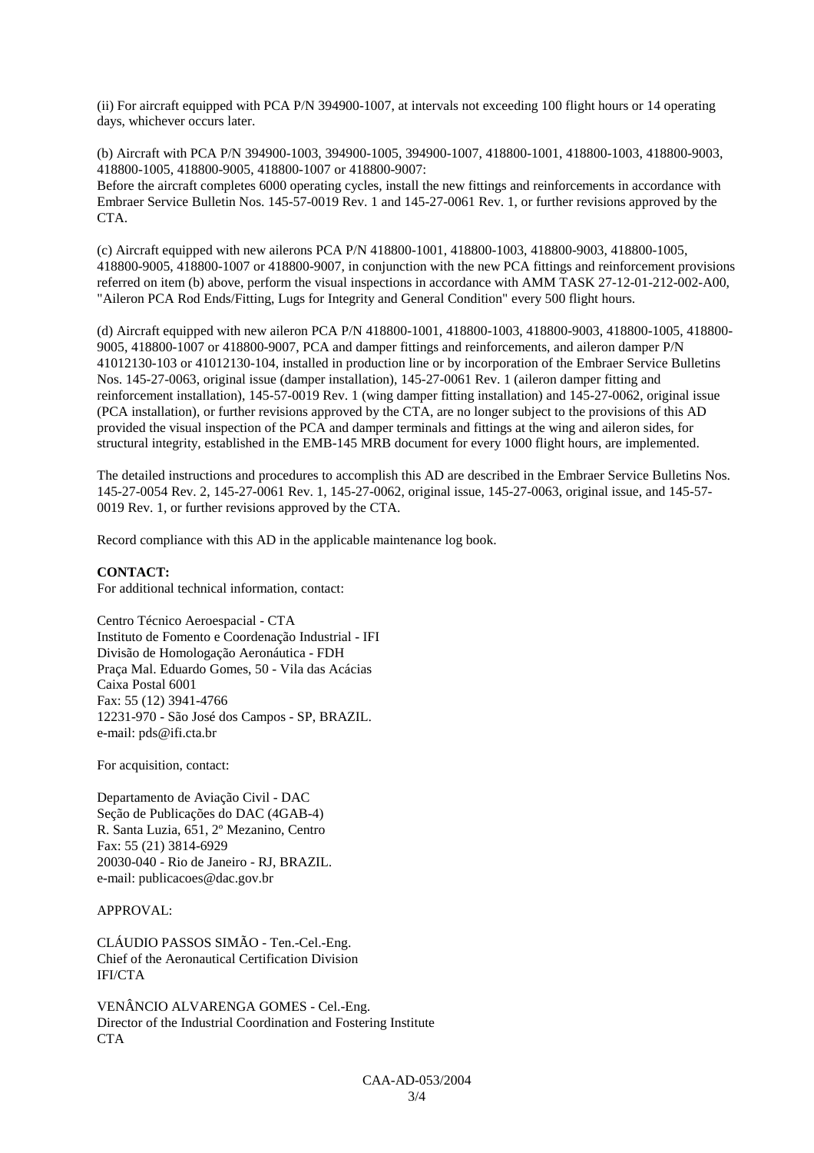(ii) For aircraft equipped with PCA P/N 394900-1007, at intervals not exceeding 100 flight hours or 14 operating days, whichever occurs later.

(b) Aircraft with PCA P/N 394900-1003, 394900-1005, 394900-1007, 418800-1001, 418800-1003, 418800-9003, 418800-1005, 418800-9005, 418800-1007 or 418800-9007: Before the aircraft completes 6000 operating cycles, install the new fittings and reinforcements in accordance with Embraer Service Bulletin Nos. 145-57-0019 Rev. 1 and 145-27-0061 Rev. 1, or further revisions approved by the CTA.

(c) Aircraft equipped with new ailerons PCA P/N 418800-1001, 418800-1003, 418800-9003, 418800-1005, 418800-9005, 418800-1007 or 418800-9007, in conjunction with the new PCA fittings and reinforcement provisions referred on item (b) above, perform the visual inspections in accordance with AMM TASK 27-12-01-212-002-A00, "Aileron PCA Rod Ends/Fitting, Lugs for Integrity and General Condition" every 500 flight hours.

(d) Aircraft equipped with new aileron PCA P/N 418800-1001, 418800-1003, 418800-9003, 418800-1005, 418800- 9005, 418800-1007 or 418800-9007, PCA and damper fittings and reinforcements, and aileron damper P/N 41012130-103 or 41012130-104, installed in production line or by incorporation of the Embraer Service Bulletins Nos. 145-27-0063, original issue (damper installation), 145-27-0061 Rev. 1 (aileron damper fitting and reinforcement installation), 145-57-0019 Rev. 1 (wing damper fitting installation) and 145-27-0062, original issue (PCA installation), or further revisions approved by the CTA, are no longer subject to the provisions of this AD provided the visual inspection of the PCA and damper terminals and fittings at the wing and aileron sides, for structural integrity, established in the EMB-145 MRB document for every 1000 flight hours, are implemented.

The detailed instructions and procedures to accomplish this AD are described in the Embraer Service Bulletins Nos. 145-27-0054 Rev. 2, 145-27-0061 Rev. 1, 145-27-0062, original issue, 145-27-0063, original issue, and 145-57- 0019 Rev. 1, or further revisions approved by the CTA.

Record compliance with this AD in the applicable maintenance log book.

# **CONTACT:**

For additional technical information, contact:

Centro Técnico Aeroespacial - CTA Instituto de Fomento e Coordenação Industrial - IFI Divisão de Homologação Aeronáutica - FDH Praça Mal. Eduardo Gomes, 50 - Vila das Acácias Caixa Postal 6001 Fax: 55 (12) 3941-4766 12231-970 - São José dos Campos - SP, BRAZIL. e-mail: pds@ifi.cta.br

For acquisition, contact:

Departamento de Aviação Civil - DAC Seção de Publicações do DAC (4GAB-4) R. Santa Luzia, 651, 2º Mezanino, Centro Fax: 55 (21) 3814-6929 20030-040 - Rio de Janeiro - RJ, BRAZIL. e-mail: publicacoes@dac.gov.br

# APPROVAL:

CLÁUDIO PASSOS SIMÃO - Ten.-Cel.-Eng. Chief of the Aeronautical Certification Division IFI/CTA

VENÂNCIO ALVARENGA GOMES - Cel.-Eng. Director of the Industrial Coordination and Fostering Institute **CTA**